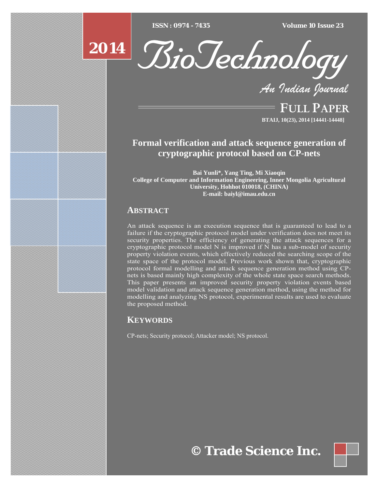$\overline{ISSN} : 0974 - 7435$ 

*ISSN : 0974 - 7435 Volume 10 Issue 23*





*An Indian Journal*

FULL PAPER **BTAIJ, 10(23), 2014 [14441-14448]**

# **Formal verification and attack sequence generation of cryptographic protocol based on CP-nets**

**Bai Yunli\*, Yang Ting, Mi Xiaoqin College of Computer and Information Engineering, Inner Mongolia Agricultural University, Hohhot 010018, (CHINA) E-mail: baiyl@imau.edu.cn** 

## **ABSTRACT**

An attack sequence is an execution sequence that is guaranteed to lead to a failure if the cryptographic protocol model under verification does not meet its security properties. The efficiency of generating the attack sequences for a cryptographic protocol model N is improved if N has a sub-model of security property violation events, which effectively reduced the searching scope of the state space of the protocol model. Previous work shown that, cryptographic protocol formal modelling and attack sequence generation method using CPnets is based mainly high complexity of the whole state space search methods. This paper presents an improved security property violation events based model validation and attack sequence generation method, using the method for modelling and analyzing NS protocol, experimental results are used to evaluate the proposed method.

## **KEYWORDS**

CP-nets; Security protocol; Attacker model; NS protocol.

**© Trade Science Inc.**

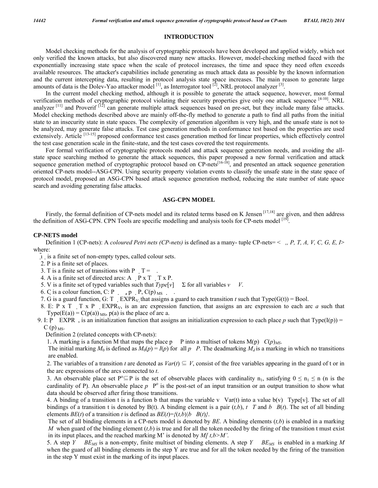#### **INTRODUCTION**

Model checking methods for the analysis of cryptographic protocols have been developed and applied widely, which not only verified the known attacks, but also discovered many new attacks. However, model-checking method faced with the exponentially increasing state space when the scale of protocol increases, the time and space they need often exceeds available resources. The attacker's capabilities include generating as much attack data as possible by the known information and the current intercepting data, resulting in protocol analysis state space increases. The main reason to generate large amounts of data is the Dolev-Yao attacker model  $^{[1]}$ , as Interrogator tool  $^{[2]}$ , NRL protocol analyzer  $^{[3]}$ .

In the current model checking method, although it is possible to generate the attack sequence, however, most formal verification methods of cryptographic protocol violating their security properties give only one attack sequence [4-10]. NRL analyzer  $[11]$  and Proverif  $[12]$  can generate multiple attack sequences based on pre-set, but they include many false attacks. Model checking methods described above are mainly off-the-fly method to generate a path to find all paths from the initial state to an insecurity state in state spaces. The complexity of generation algorithm is very high, and the unsafe state is not to be analyzed, may generate false attacks. Test case generation methods in conformance test based on the properties are used extensively. Article [13-15] proposed conformance test cases generation method for linear properties, which effectively control the test case generation scale in the finite-state, and the test cases covered the test requirements.

For formal verification of cryptographic protocols model and attack sequence generation needs, and avoiding the allstate space searching method to generate the attack sequences, this paper proposed a new formal verification and attack sequence generation method of cryptographic protocol based on CP-nets<sup>[16-18]</sup>, and presented an attack sequence generation oriented CP-nets model--ASG-CPN. Using security property violation events to classify the unsafe state in the state space of protocol model, proposed an ASG-CPN based attack sequence generation method, reducing the state number of state space search and avoiding generating false attacks.

#### **ASG-CPN MODEL**

Firstly, the formal definition of CP-nets model and its related terms based on K Jensen<sup>[17,18]</sup> are given, and then address the definition of ASG-CPN. CPN Tools are specific modelling and analysis tools for CP-nets model [19].

#### **CP-NETS model**

Definition 1 (CP-nets): A *coloured Petri nets (CP-nets)* is defined as a many- tuple CP-nets= <*,, P, T, A, V, C, G, E, I*> where:

- is a finite set of non-empty types, called colour sets.
- 2. P is a finite set of places.
- 3. T is a finite set of transitions with P  $T =$ .
- 4. A is a finite set of directed arcs: A  $\overline{P}$  x T  $\overline{T}$  x P.
- 5. V is a finite set of typed variables such that  $Type[v]$   $\Sigma$  for all variables  $v$  *V*.
- 6. C is a colour function, C: P , p  $P$ ,  $C(p)$ <sub>MS</sub>.
- 7. G is a guard function, G: T EXPR<sub>V</sub>, that assigns a guard to each transition *t* such that Type( $G(t)$ ) = Bool.
- 8. E: P x T T x P EXPR<sub>V</sub>, is an arc expression function, that assigns an arc expression to each arc *a* such that Type(E(a)) =  $C(p(a))_{MS}$ , p(a) is the place of arc a.
- 9. I: P EXPR, is an initialization function that assigns an initialization expression to each place p such that Type(I(p)) =  $C(p)$ <sub>MS</sub>.

Definition 2 (related concepts with CP-nets):

1. A marking is a function M that maps the place p *P* into a multiset of tokens M(p)  $C(p)_{MS}$ .

The initial marking  $M_0$  is defined as  $M_0(p) = I(p)$  for all p P. The deadmarking  $M_d$  is a marking in which no transitions are enabled.

2. The variables of a transition *t* are denoted as  $Var(t) \subseteq V$ , consist of the free variables appearing in the guard of t or in the arc expressions of the arcs connected to *t*.

3. An observable place set  $P^{\circ} \subseteq P$  is the set of observable places with cardinality  $n_1$ , satisfying  $0 \le n_1 \le n$  (n is the cardinality of P). An observable place  $p \ P^{\circ}$  is the post-set of an input transition or an output transition to show what data should be observed after firing those transitions.

4. A binding of a transition t is a function b that maps the variable v Var(t) into a value  $b(v)$  Type[v]. The set of all bindings of a transition t is denoted by B(t). A binding element is a pair  $(t,b)$ ,  $t$  T and  $b$  B(t). The set of all binding elements *BE*(*t*) of a transition *t* is defined as *BE*(*t*)= $\{(t,b)|b \ B(t)\}$ .

The set of all binding elements in a CP-nets model is denoted by *BE*. A binding elements (*t,b*) is enabled in a marking *M* when guard of the binding element  $(t, b)$  is true and for all the token needed by the firing of the transition t must exist in its input places, and the reached marking M' is denoted by *M[ t,b>M'*.

 5. A step *Y BEMS* is a non-empty, finite multiset of binding elements. A step *Y BEMS* is enabled in a marking *M*  when the guard of all binding elements in the step Y are true and for all the token needed by the firing of the transition in the step Y must exist in the marking of its input places.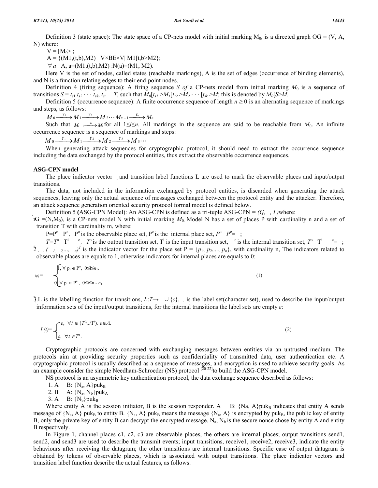$V = [M_0 > ;$ 

 $A = \{(M1, (t,b), M2) \quad V \times BE \times V | M1[t, b > M2]\};$ 

 $\forall a \ A, a=(M1,(t,b),M2) : N(a)=(M1, M2).$ 

Here V is the set of nodes, called states (reachable markings), A is the set of edges (occurrence of binding elements), and N is a function relating edges to their end-point nodes.

Definition 4 (firing sequence): A firing sequence *S of* a CP-nets model from initial marking *M*0 is a sequence of transitions  $S = t_{s1} t_{s2} \cdots t_{sk} t_{si}$  T, such that  $M_0[t_{s1} > M_1[t_{s2} > M_2 \cdots [t_{sk} > M]$ ; this is denoted by  $M_0[S > M]$ .

Definition 5 (occurrence sequence): A finite occurrence sequence of length  $n \ge 0$  is an alternating sequence of markings and steps, as follows:

 $M_0 \xrightarrow{Y_1} M_1 \xrightarrow{Y_2} M_2 \cdots M_{n-1} \xrightarrow{Y_n} M_n$ 

Such that  $M_{i-1}$   $\longrightarrow$   $M_i$  for all  $1 \le i \le n$ . All markings in the sequence are said to be reachable from  $M_0$ . An infinite occurrence sequence is a sequence of markings and steps:

 $M_0 \xrightarrow{Y_1} M_1 \xrightarrow{Y_2} M_2 \xrightarrow{Y_3} M_3 \cdots$ 

When generating attack sequences for cryptographic protocol, it should need to extract the occurrence sequence including the data exchanged by the protocol entities, thus extract the observable occurrence sequences.

#### **ASG-CPN model**

The place indicator vector and transition label functions L are used to mark the observable places and input/output transitions.

The data, not included in the information exchanged by protocol entities, is discarded when generating the attack sequences, leaving only the actual sequence of messages exchanged between the protocol entity and the attacker. Therefore, an attack sequence generation oriented security protocol formal model is defined below.

Definition 5 **(**ASG-CPN Model): An ASG-CPN is defined as a tri-tuple ASG-CPN *= (G,, L)*where:

 $IG = (N, M_0)$ , is a CP-nets model N with initial marking  $M_0$  Model N has a set of places P with cardinality n and a set of transition T with cardinality m, where:

 $P = P^{\circ}$   $P^{\circ}$ ,  $P^{\circ}$  is the observable place set,  $P^{\circ}$  is the internal place set,  $P^{\circ}$   $P^{\circ} = \frac{1}{2}$ ;

 $T=T^0$  <sup>e</sup>,  $T^0$  is the output transition set,  $T^1$  is the input transition set,  $T^0$  is the internal transition set,  $T^0$  <sup>e</sup> = ;  $\tilde{2}$ ,  $(1, 2,...,n)^T$  is the indicator vector for the place set  $P = \{p_1, p_2,..., p_n\}$ , with cardinality n, The indicators related to observable places are equals to 1, otherwise indicators for internal places are equals to 0:

$$
\psi_i = \begin{cases} \n\int_{0}^{\infty} \nabla p_i \in P^{\circ}, \quad 0 \leq i \leq n_1. \\ \nabla p_i \in P^{\circ}, \quad 0 \leq i \leq n - n_1. \n\end{cases} \tag{1}
$$

3.L is the labelling function for transitions,  $L:\mathcal{T}\to\cup\{\varepsilon\}$ , is the label set(character set), used to describe the input/output information sets of the input/output transitions, for the internal transitions the label sets are empty *ε*:

$$
L(t) = \begin{cases} e, & \forall t \in (T^0 \cup T^i), e \in \Lambda. \\ \varepsilon, & \forall t \in T^e. \end{cases}
$$
 (2)

Cryptographic protocols are concerned with exchanging messages between entities via an untrusted medium. The protocols aim at providing security properties such as confidentiality of transmitted data, user authentication etc. A cryptographic protocol is usually described as a sequence of messages, and encryption is used to achieve security goals. As an example consider the simple Needham-Schroeder (NS) protocol  $[20-22]$  to build the ASG-CPN model.

NS protocol is an asymmetric key authentication protocol, the data exchange sequence described as follows:

1. A B:  ${N_a, A}$ puk<sub>B</sub>

2. B A:  ${N_a, N_b}$ puk<sub>A</sub>

3. A B:  ${N_b}$  puk<sub>B</sub>

Where entity A is the session initiator, B is the session responder. A  $B: \{Na, A\}$ puk<sub>B</sub> indicates that entity A sends message of  $\{N_a, A\}$  puk<sub>B</sub> to entity B.  $\{N_a, A\}$  puk<sub>B</sub> means the message  $\{N_a, A\}$  is encrypted by puk<sub>B</sub>, the public key of entity B, only the private key of entity B can decrypt the encrypted message.  $N_a$ ,  $N_b$  is the secure nonce chose by entity A and entity B respectively.

In Figure 1, channel places c1, c2, c3 are observable places, the others are internal places; output transitions send1, send2, and send3 are used to describe the transmit events; input transitions, receive1, receive2, receive3, indicate the entity behaviours after receiving the datagram; the other transitions are internal transitions. Specific case of output datagram is obtained by tokens of observable places, which is associated with output transitions. The place indicator vectors and transition label function describe the actual features, as follows: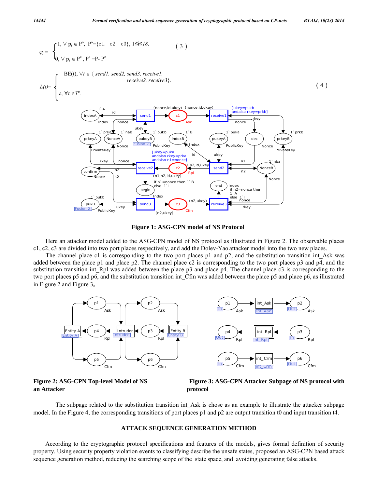$$
w_{i} = \begin{cases} 1, \forall p_{i} \in P^{o}, P^{o} = \{c1, c2, c3\}, 1 \leq i \leq l \}, \\ 0, \forall p_{i} \in P^{e}, P^{e} = P \cdot P^{o} \\ \vspace{-2mm} \vspace{-2mm} \vspace{-2mm} \vspace{-2mm} \vspace{-2mm} \vspace{-2mm} \vspace{-2mm} \vspace{-2mm} \vspace{-2mm} \vspace{-2mm} \vspace{-2mm} \vspace{-2mm} \vspace{-2mm} \vspace{-2mm} \vspace{-2mm} \vspace{-2mm} \vspace{-2mm} \vspace{-2mm} \vspace{-2mm} \vspace{-2mm} \vspace{-2mm} \vspace{-2mm} \vspace{-2mm} \vspace{-2mm} \vspace{-2mm} \vspace{-2mm} \vspace{-2mm} \vspace{-2mm} \vspace{-2mm} \vspace{-2mm} \vspace{-2mm} \vspace{-2mm} \vspace{-2mm} \vspace{-2mm} \vspace{-2mm} \vspace{-2mm} \vspace{-2mm} \vspace{-2mm} \vspace{-2mm} \vspace{-2mm} \vspace{-2mm} \vspace{-2mm} \vspace{-2mm} \vspace{-2mm} \vspace{-2mm} \vspace{-2mm} \vspace{-2mm} \vspace{-2mm} \vspace{-2mm} \vspace{-2mm} \vspace{-2mm} \vspace{-2mm} \vspace{-2mm} \vspace{-2mm} \vspace{-2mm} \vspace{-2mm} \vspace{-2mm} \vspace{-2mm} \vspace{-2mm} \vspace{-2mm} \vspace{-2mm} \vspace{-2mm} \vspace{-2mm} \vspace{-2mm} \vspace{-2mm} \vspace{-2mm} \vspace{-2mm} \vspace{-2mm} \vspace{-2mm} \vspace{-2mm} \vspace{-2mm} \vspace{-2mm} \vspace{-2mm} \vspace{-2mm} \vspace{-2mm} \vspace{-2mm} \vspace{-2mm} \vspace{-2mm} \vspace{-2mm} \vspace{-2mm} \vspace{-2mm} \vspace{-2mm} \vspace{-2mm} \vspace{-2mm} \vspace{-2mm} \vspace{-2mm} \vspace{-2mm} \vspace{-2mm} \vspace{-2mm} \vspace{-2mm} \vspace{-2mm} \vspace{-2mm} \vspace{-2mm} \vspace{-2mm} \vspace{-2mm} \vspace{-2mm} \vspace{-
$$



Here an attacker model added to the ASG-CPN model of NS protocol as illustrated in Figure 2. The observable places c1, c2, c3 are divided into two port places respectively, and add the Dolev-Yao attacker model into the two new places.

The channel place c1 is corresponding to the two port places p1 and p2, and the substitution transition int Ask was added between the place p1 and place p2. The channel place c2 is corresponding to the two port places p3 and p4, and the substitution transition int Rpl was added between the place p3 and place p4. The channel place c3 is corresponding to the two port places p5 and p6, and the substitution transition int\_Cfm was added between the place p5 and place p6, as illustrated in Figure 2 and Figure 3。



**an Attacker protocol** 

Figure 2: ASG-CPN Top-level Model of NS Figure 3: ASG-CPN Attacker Subpage of NS protocol with

The subpage related to the substitution transition int Ask is chose as an example to illustrate the attacker subpage model. In the Figure 4, the corresponding transitions of port places p1 and p2 are output transition t0 and input transition t4.

### **ATTACK SEQUENCE GENERATION METHOD**

According to the cryptographic protocol specifications and features of the models, gives formal definition of security property. Using security property violation events to classifying describe the unsafe states, proposed an ASG-CPN based attack sequence generation method, reducing the searching scope of the state space, and avoiding generating false attacks.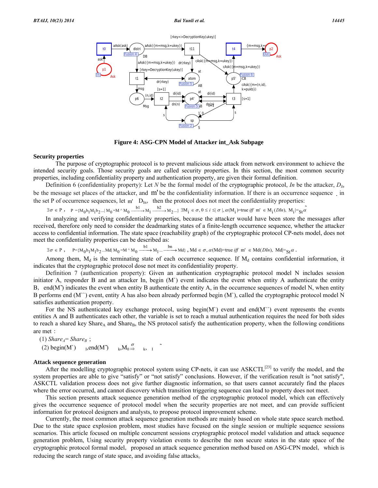

**Figure 4: ASG-CPN Model of Attacker int\_Ask Subpage** 

#### **Security properties**

 The purpose of cryptographic protocol is to prevent malicious side attack from network environment to achieve the intended security goals. Those security goals are called security properties. In this section, the most common security properties, including confidentiality property and authentication property, are given their formal definition.

Definition 6 (confidentiality property): Let *N* be the formal model of the cryptographic protocol, *In* be the attacker,  $D_{in}$ be the message set places of the attacker, and m' be the confidentiality information. If there is an occurrence sequence in the set P of occurrence sequences, let  $m'$   $D_{In}$ , then the protocol does not meet the confidentiality properties:

$$
\exists \sigma \in P, \quad P = \{M_0 b_1 M_1 b_2 ... | M_0 = M^\wedge M_0 \xrightarrow{b1} M_1 \xrightarrow{b2} M_2 ... \} \exists M_i \in \sigma, 0 \le i \le |\sigma|, \alpha(M_i) = \text{true iff } m' \in M_i(DIn), M_i \models_{St} \alpha'
$$

In analyzing and verifying confidentiality properties, because the attacker would have been store the messages after received, therefore only need to consider the deadmarking states of a finite-length occurrence sequence, whether the attacker access to confidential information. The state space (reachability graph) of the cryptographic protocol CP-nets model, does not meet the confidentiality properties can be described as:

 $\exists \sigma \in P$ ,  $P=[M_0 b_1 M_1 b_2 ... M d] M_0 = M \wedge M_0 \xrightarrow{b1} M_1 ... \xrightarrow{b n} M d$ , Md  $\in \sigma$ ,  $\alpha$ (Md)=true *iff*  $m' \in Md(DIn)$ , Md  $=_{St} \alpha$ .

Among them,  $M_d$  is the terminating state of each occurrence sequence. If  $M_d$  contains confidential information, it indicates that the cryptographic protocol dose not meet its confidentiality property.

Definition 7 (authentication property): Given an authentication cryptographic protocol model N includes session initiator A, responder B and an attacker In, begin  $(M')$  event indicates the event when entity A authenticate the entity B, end(M $\degree$ ) indicates the event when entity B authenticate the entity A, in the occurrence sequences of model N, when entity B performs end (M``) event, entity A has also been already performed begin (M`), called the cryptographic protocol model N satisfies authentication property.

For the NS authenticated key exchange protocol, using begin(M`) event and end(M``) event represents the events entities A and B authenticates each other, the variable is set to reach a mutual authentication requires the need for both sides to reach a shared key Share<sub>A</sub> and Share<sub>B</sub>, the NS protocol satisfy the authentication property, when the following conditions are met:

 $(1)$  *Share<sub>A</sub>*= *Share<sub>B</sub>*; (2) begin(M`)  $I,end(M^*)$  $\overrightarrow{\sigma}$  k, I  $\overrightarrow{ }$ 

#### **Attack sequence generation**

After the modelling cryptographic protocol system using CP-nets, it can use ASKCTL<sup>[23]</sup> to verify the model, and the system properties are able to give "satisfy" or "not satisfy" conclusions. However, if the verification result is "not satisfy", ASKCTL validation process does not give further diagnostic information, so that users cannot accurately find the places where the error occurred, and cannot discovery which transition triggering sequence can lead to property does not meet.

This section presents attack sequence generation method of the cryptographic protocol model, which can effectively gives the occurrence sequence of protocol model when the security properties are not meet, and can provide sufficient information for protocol designers and analysts, to propose protocol improvement scheme.

Currently, the most common attack sequence generation methods are mainly based on whole state space search method. Due to the state space explosion problem, most studies have focused on the single session or multiple sequence sessions scenarios. This article focused on multiple concurrent sessions cryptographic protocol model validation and attack sequence generation problem, Using security property violation events to describe the non secure states in the state space of the cryptographic protocol formal model, proposed an attack sequence generation method based on ASG-CPN model, which is reducing the search range of state space, and avoiding false attacks。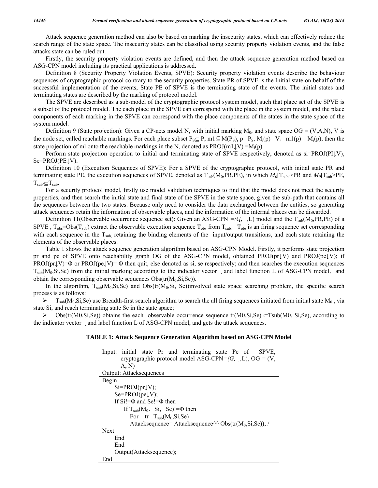Attack sequence generation method can also be based on marking the insecurity states, which can effectively reduce the search range of the state space. The insecurity states can be classified using security property violation events, and the false attacks state can be ruled out.

Firstly, the security property violation events are defined, and then the attack sequence generation method based on ASG-CPN model including its practical applications is addressed.

Definition 8 (Security Property Violation Events, SPVE): Security property violation events describe the behaviour sequences of cryptographic protocol contrary to the security properties. State PR of SPVE is the Initial state on behalf of the successful implementation of the events, State PE of SPVE is the terminating state of the events. The initial states and terminating states are described by the marking of protocol model.

The SPVE are described as a sub-model of the cryptographic protocol system model, such that place set of the SPVE is a subset of the protocol model. The each place in the SPVE can correspond with the place in the system model, and the place components of each marking in the SPVE can correspond with the place components of the states in the state space of the system model.

Definition 9 (State projection): Given a CP-nets model N, with initial marking  $M_0$ , and state space  $OG = (V, A, N)$ , V is the node set, called reachable markings. For each place subset  $P_S \subseteq P$ , m1 $\subseteq M(P_S)$ , p $P_S$ ,  $M_i(p)$  V, m1(p)  $M_i(p)$ , then the state projection of ml onto the reachable markings in the N, denoted as  $PROJ(m1\downarrow V) = M_i(p)$ .

Perform state projection operation to initial and terminating state of SPVE respectively, denoted as si=PROJ(PI↓V),  $Se=PROJ(PE\downarrow V)$ .

Definition 10 (Execution Sequences of SPVE): For a SPVE of the cryptographic protocol, with initial state PR and terminating state PE, the execution sequences of SPVE, denoted as  $T_{sub}(M_0, PR, PE)$ , in which  $M_0[T_{sub}>PR$  and  $M_0[T_{sub}>PE]$ ,  $T_{sub} \subseteq T_{sub}$ .

For a security protocol model, firstly use model validation techniques to find that the model does not meet the security properties, and then search the initial state and final state of the SPVE in the state space, given the sub-path that contains all the sequences between the two states. Because only need to consider the data exchanged between the entities, so generating attack sequences retain the information of observable places, and the information of the internal places can be discarded.

Definition 11(Observable occurrence sequence set): Given an ASG-CPN =( $G$ , L) model and the T<sub>sub</sub>(M<sub>0</sub>,PR,PE) of a SPVE,  $T_{obs}$ =Obs( $T_{sub}$ ) extract the observable execution sequence  $T_{obs}$  from  $T_{sub}$ ,  $T_{obs}$  is an firing sequence set corresponding with each sequence in the T<sub>sub,</sub> retaining the binding elements of the input/output transitions, and each state retaining the elements of the observable places.

Table 1 shows the attack sequence generation algorithm based on ASG-CPN Model. Firstly, it performs state projection pr and pe of SPVE onto reachability graph OG of the ASG-CPN model, obtained PROJ(pr↓V) and PROJ(pe↓V); if  $PROJ(pr\downarrow V)=\Phi$  or  $PROJ(pe\downarrow V)=\Phi$  then quit, else denoted as si, se respectively; and then searches the execution sequences  $T_{sub}(M_0,S_i,Se)$  from the initial marking according to the indicator vector and label function L of ASG-CPN model, and obtain the corresponding observable sequences  $Obs(tr(M_0,S_i,Se))$ .

In the algorithm,  $T_{sub}(M_0,S_i,Se)$  and  $Obs(tr(M_0,S_i, Se))$  involved state space searching problem, the specific search process is as follows:

 $\triangleright$  T<sub>sub</sub>(M<sub>0</sub>,Si,Se) use Breadth-first search algorithm to search the all firing sequences initiated from initial state M<sub>0</sub>, via state Si, and reach terminating state Se in the state space;

 $\triangleright$  Obs(tr(M0,Si,Se)) obtains the each observable occurrence sequence tr(M0,Si,Se)  $\subseteq$ Tsub(M0, Si,Se), according to the indicator vector and label function L of ASG-CPN model, and gets the attack sequences.

### **TABLE 1: Attack Sequence Generation Algorithm based on ASG-CPN Model**

| initial state Pr and terminating state Pe of SPVE,<br>lnput:    |
|-----------------------------------------------------------------|
| cryptographic protocol model ASG-CPN= $(G, \_), L$ ), OG = (V,  |
| A. N)                                                           |
| <b>Output: Attacksequences</b>                                  |
| Begin                                                           |
| $Si=PROJ(pr\downarrow V);$                                      |
| $Se = PROJ(pe \downarrow V);$                                   |
| If $SiI = \Phi$ and $SeI = \Phi$ then                           |
| If $T_{sub}(M_0, Si, Se)=\Phi$ then                             |
| For tr $T_{sub}(M_0,S_i,Se)$                                    |
| Attacksequence= Attacksequence^^ Obs(tr( $M_0$ , $Si, Se$ )); / |
| <b>Next</b>                                                     |
| End                                                             |
| End                                                             |
| Output(Attacksequence);                                         |
| End                                                             |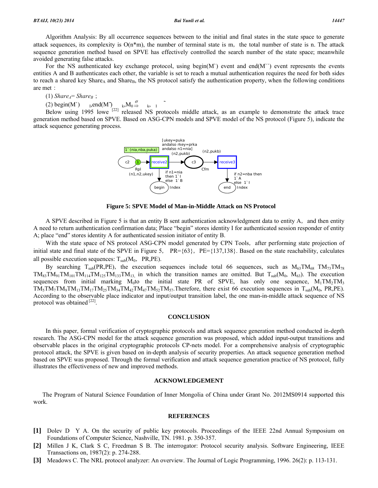Algorithm Analysis: By all occurrence sequences between to the initial and final states in the state space to generate attack sequences, its complexity is  $O(n^*m)$ , the number of terminal state is m, the total number of state is n. The attack sequence generation method based on SPVE has effectively controlled the search number of the state space; meanwhile avoided generating false attacks.

For the NS authenticated key exchange protocol, using begin(M`) event and end(M``) event represents the events entities A and B authenticates each other, the variable is set to reach a mutual authentication requires the need for both sides to reach a shared key Share<sub>A</sub> and Share<sub>B</sub>, the NS protocol satisfy the authentication property, when the following conditions are met:

 $(1)$  *Share<sub>A</sub>* = *Share<sub>B</sub>*;

(2) begin(M`)  $I_1$ ,end(M`)  $I_1$ , $M_0 \stackrel{\sigma}{\Rightarrow} I_2$ ,  $I_3$ 

Below using 1995 lowe <sup>[22]</sup> released NS protocols middle attack, as an example to demonstrate the attack trace generation method based on SPVE. Based on ASG-CPN models and SPVE model of the NS protocol (Figure 5), indicate the attack sequence generating process.



**Figure 5: SPVE Model of Man-in-Middle Attack on NS Protocol** 

A SPVE described in Figure 5 is that an entity B sent authentication acknowledgment data to entity A, and then entity A need to return authentication confirmation data; Place "begin" stores identity I for authenticated session responder of entity A; place "end" stores identity A for authenticated session initiator of entity B.

With the state space of NS protocol ASG-CPN model generated by CPN Tools, after performing state projection of initial state and final state of the SPVE in Figure 5,  $PR = \{63\}$ ,  $PE = \{137,138\}$ . Based on the state reachability, calculates all possible execution sequences:  $T_{sub}(M_0, PR, PE)$ .

By searching T<sub>sub</sub>(PR,PE), the execution sequences include total 66 sequences, such as  $M_{63}TM_{68}TM_{73}TM_{78}$  $TM_{83}TM_{91}TM_{101}TM_{114}TM_{125}TM_{133}TM_{13}$  in which the transition names are omitted. But  $T_{sub}(M_0, M_{63})$ . The execution sequences from initial marking  $M_0$ to the initial state PR of SPVE, has only one sequence,  $M_1TM_2TM_3$  $TM_5TM_7TM_9TM_{13}TM_{17}TM_{25}TM_{34}TM_{42}TM_{47}TM_{52}TM_{57}$ . Therefore, there exist 66 execution sequences in  $T_{sub}(M_0, PR, PE)$ . According to the observable place indicator and input/output transition label, the one man-in-middle attack sequence of NS protocol was obtained  $^{[22]}$ .

#### **CONCLUSION**

In this paper, formal verification of cryptographic protocols and attack sequence generation method conducted in-depth research. The ASG-CPN model for the attack sequence generation was proposed, which added input-output transitions and observable places in the original cryptographic protocols CP-nets model. For a comprehensive analysis of cryptographic protocol attack, the SPVE is given based on in-depth analysis of security properties. An attack sequence generation method based on SPVE was proposed. Through the formal verification and attack sequence generation practice of NS protocol, fully illustrates the effectiveness of new and improved methods.

#### **ACKNOWLEDGEMENT**

The Program of Natural Science Foundation of Inner Mongolia of China under Grant No. 2012MS0914 supported this work.

#### **REFERENCES**

- **[1]** Dolev D Y A. On the security of public key protocols. Proceedings of the IEEE 22nd Annual Symposium on Foundations of Computer Science, Nashville, TN. 1981. p. 350-357.
- **[2]** Millen J K, Clark S C, Freedman S B. The interrogator: Protocol security analysis. Software Engineering, IEEE Transactions on, 1987(2): p. 274-288.
- **[3]** Meadows C. The NRL protocol analyzer: An overview. The Journal of Logic Programming, 1996. 26(2): p. 113-131.